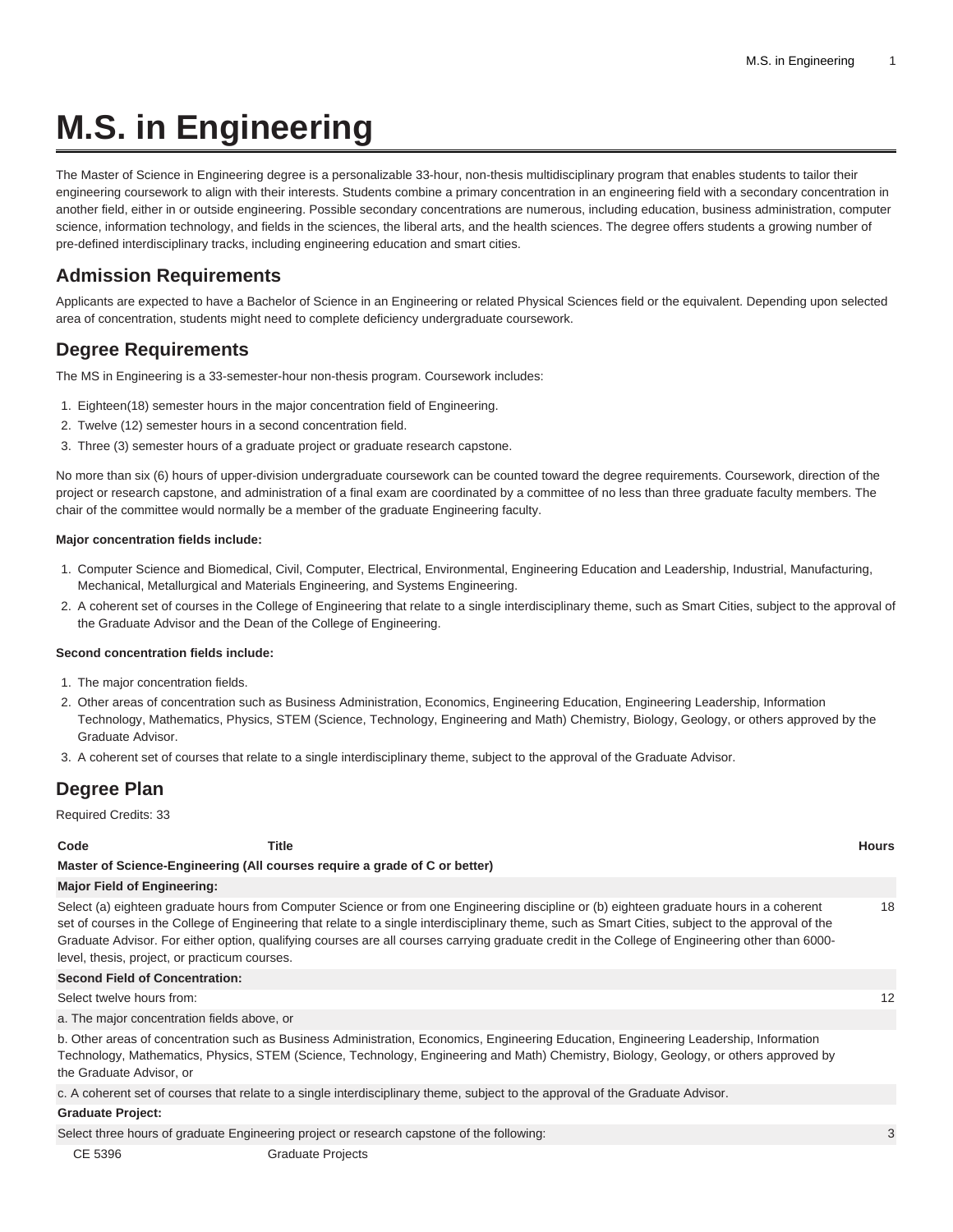# **M.S. in Engineering**

The Master of Science in Engineering degree is a personalizable 33-hour, non-thesis multidisciplinary program that enables students to tailor their engineering coursework to align with their interests. Students combine a primary concentration in an engineering field with a secondary concentration in another field, either in or outside engineering. Possible secondary concentrations are numerous, including education, business administration, computer science, information technology, and fields in the sciences, the liberal arts, and the health sciences. The degree offers students a growing number of pre-defined interdisciplinary tracks, including engineering education and smart cities.

## **Admission Requirements**

Applicants are expected to have a Bachelor of Science in an Engineering or related Physical Sciences field or the equivalent. Depending upon selected area of concentration, students might need to complete deficiency undergraduate coursework.

## **Degree Requirements**

The MS in Engineering is a 33-semester-hour non-thesis program. Coursework includes:

- 1. Eighteen(18) semester hours in the major concentration field of Engineering.
- 2. Twelve (12) semester hours in a second concentration field.
- 3. Three (3) semester hours of a graduate project or graduate research capstone.

No more than six (6) hours of upper-division undergraduate coursework can be counted toward the degree requirements. Coursework, direction of the project or research capstone, and administration of a final exam are coordinated by a committee of no less than three graduate faculty members. The chair of the committee would normally be a member of the graduate Engineering faculty.

### **Major concentration fields include:**

- 1. Computer Science and Biomedical, Civil, Computer, Electrical, Environmental, Engineering Education and Leadership, Industrial, Manufacturing, Mechanical, Metallurgical and Materials Engineering, and Systems Engineering.
- 2. A coherent set of courses in the College of Engineering that relate to a single interdisciplinary theme, such as Smart Cities, subject to the approval of the Graduate Advisor and the Dean of the College of Engineering.

### **Second concentration fields include:**

- 1. The major concentration fields.
- 2. Other areas of concentration such as Business Administration, Economics, Engineering Education, Engineering Leadership, Information Technology, Mathematics, Physics, STEM (Science, Technology, Engineering and Math) Chemistry, Biology, Geology, or others approved by the Graduate Advisor.
- 3. A coherent set of courses that relate to a single interdisciplinary theme, subject to the approval of the Graduate Advisor.

## **Degree Plan**

Required Credits: 33

## **Code Title Hours Master of Science-Engineering (All courses require a grade of C or better)**

#### **Major Field of Engineering:**

Select (a) eighteen graduate hours from Computer Science or from one Engineering discipline or (b) eighteen graduate hours in a coherent set of courses in the College of Engineering that relate to a single interdisciplinary theme, such as Smart Cities, subject to the approval of the Graduate Advisor. For either option, qualifying courses are all courses carrying graduate credit in the College of Engineering other than 6000 level, thesis, project, or practicum courses.

#### **Second Field of Concentration:**

Select twelve hours from: 12

a. The major concentration fields above, or

b. Other areas of concentration such as Business Administration, Economics, Engineering Education, Engineering Leadership, Information Technology, Mathematics, Physics, STEM (Science, Technology, Engineering and Math) Chemistry, Biology, Geology, or others approved by the Graduate Advisor, or

c. A coherent set of courses that relate to a single interdisciplinary theme, subject to the approval of the Graduate Advisor.

#### **Graduate Project:**

Select three hours of graduate Engineering project or research capstone of the following: 3<br>
3

18